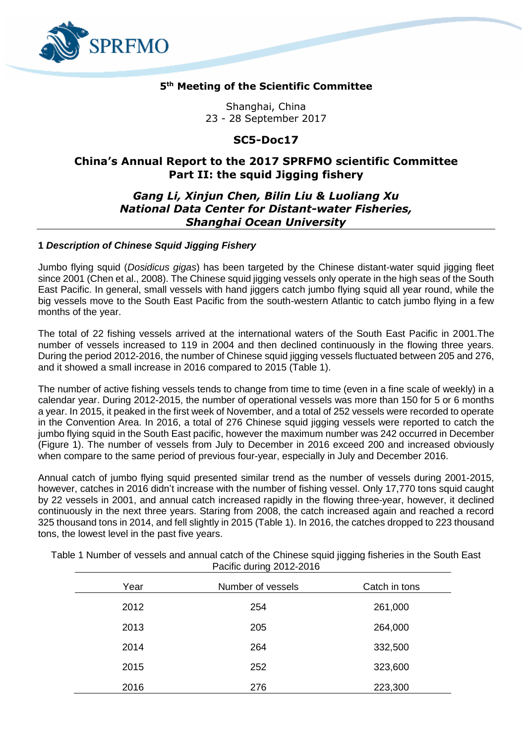

## **5 th Meeting of the Scientific Committee**

Shanghai, China 23 - 28 September 2017

# **SC5-Doc17**

# **China's Annual Report to the 2017 SPRFMO scientific Committee Part II: the squid Jigging fishery**

## *Gang Li, Xinjun Chen, Bilin Liu & Luoliang Xu National Data Center for Distant-water Fisheries, Shanghai Ocean University*

## **1** *Description of Chinese Squid Jigging Fishery*

Jumbo flying squid (*Dosidicus gigas*) has been targeted by the Chinese distant-water squid jigging fleet since 2001 (Chen et al., 2008). The Chinese squid jigging vessels only operate in the high seas of the South East Pacific. In general, small vessels with hand jiggers catch jumbo flying squid all year round, while the big vessels move to the South East Pacific from the south-western Atlantic to catch jumbo flying in a few months of the year.

The total of 22 fishing vessels arrived at the international waters of the South East Pacific in 2001.The number of vessels increased to 119 in 2004 and then declined continuously in the flowing three years. During the period 2012-2016, the number of Chinese squid ijgging vessels fluctuated between 205 and 276. and it showed a small increase in 2016 compared to 2015 (Table 1).

The number of active fishing vessels tends to change from time to time (even in a fine scale of weekly) in a calendar year. During 2012-2015, the number of operational vessels was more than 150 for 5 or 6 months a year. In 2015, it peaked in the first week of November, and a total of 252 vessels were recorded to operate in the Convention Area. In 2016, a total of 276 Chinese squid jigging vessels were reported to catch the jumbo flying squid in the South East pacific, however the maximum number was 242 occurred in December (Figure 1). The number of vessels from July to December in 2016 exceed 200 and increased obviously when compare to the same period of previous four-year, especially in July and December 2016.

Annual catch of jumbo flying squid presented similar trend as the number of vessels during 2001-2015, however, catches in 2016 didn't increase with the number of fishing vessel. Only 17,770 tons squid caught by 22 vessels in 2001, and annual catch increased rapidly in the flowing three-year, however, it declined continuously in the next three years. Staring from 2008, the catch increased again and reached a record 325 thousand tons in 2014, and fell slightly in 2015 (Table 1). In 2016, the catches dropped to 223 thousand tons, the lowest level in the past five years.

| Year | Number of vessels | Catch in tons |
|------|-------------------|---------------|
| 2012 | 254               | 261,000       |
| 2013 | 205               | 264,000       |
| 2014 | 264               | 332,500       |
| 2015 | 252               | 323,600       |
| 2016 | 276               | 223,300       |

Table 1 Number of vessels and annual catch of the Chinese squid jigging fisheries in the South East Pacific during 2012-2016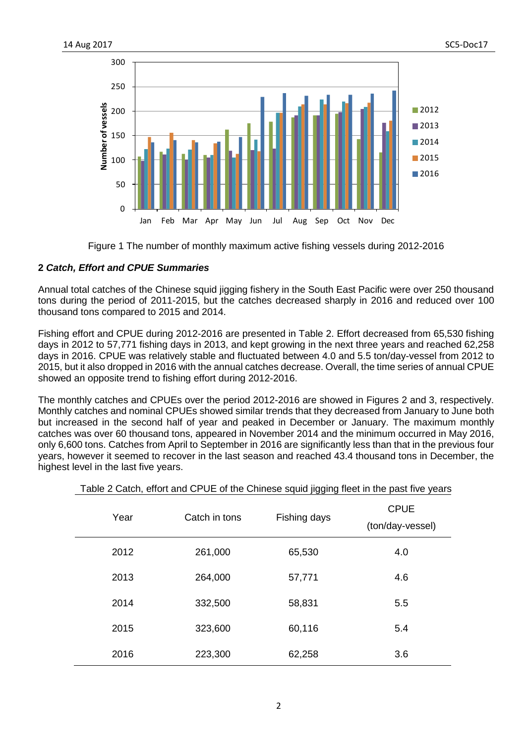

Figure 1 The number of monthly maximum active fishing vessels during 2012-2016

## **2** *Catch, Effort and CPUE Summaries*

Annual total catches of the Chinese squid jigging fishery in the South East Pacific were over 250 thousand tons during the period of 2011-2015, but the catches decreased sharply in 2016 and reduced over 100 thousand tons compared to 2015 and 2014.

Fishing effort and CPUE during 2012-2016 are presented in Table 2. Effort decreased from 65,530 fishing days in 2012 to 57,771 fishing days in 2013, and kept growing in the next three years and reached 62,258 days in 2016. CPUE was relatively stable and fluctuated between 4.0 and 5.5 ton/day-vessel from 2012 to 2015, but it also dropped in 2016 with the annual catches decrease. Overall, the time series of annual CPUE showed an opposite trend to fishing effort during 2012-2016.

The monthly catches and CPUEs over the period 2012-2016 are showed in Figures 2 and 3, respectively. Monthly catches and nominal CPUEs showed similar trends that they decreased from January to June both but increased in the second half of year and peaked in December or January. The maximum monthly catches was over 60 thousand tons, appeared in November 2014 and the minimum occurred in May 2016, only 6,600 tons. Catches from April to September in 2016 are significantly less than that in the previous four years, however it seemed to recover in the last season and reached 43.4 thousand tons in December, the highest level in the last five years.

| Year | Catch in tons | Fishing days | <b>CPUE</b><br>(ton/day-vessel) |
|------|---------------|--------------|---------------------------------|
| 2012 | 261,000       | 65,530       | 4.0                             |
| 2013 | 264,000       | 57,771       | 4.6                             |
| 2014 | 332,500       | 58,831       | 5.5                             |
| 2015 | 323,600       | 60,116       | 5.4                             |
| 2016 | 223,300       | 62,258       | 3.6                             |

## Table 2 Catch, effort and CPUE of the Chinese squid jigging fleet in the past five years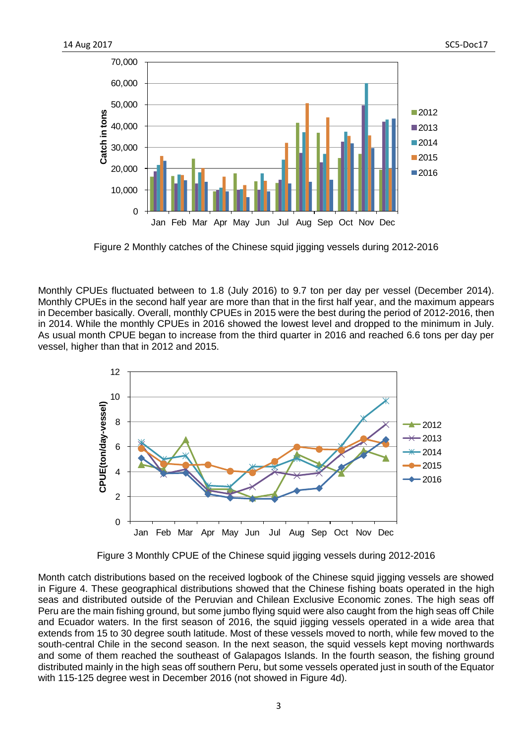

Figure 2 Monthly catches of the Chinese squid jigging vessels during 2012-2016

Monthly CPUEs fluctuated between to 1.8 (July 2016) to 9.7 ton per day per vessel (December 2014). Monthly CPUEs in the second half year are more than that in the first half year, and the maximum appears in December basically. Overall, monthly CPUEs in 2015 were the best during the period of 2012-2016, then in 2014. While the monthly CPUEs in 2016 showed the lowest level and dropped to the minimum in July. As usual month CPUE began to increase from the third quarter in 2016 and reached 6.6 tons per day per vessel, higher than that in 2012 and 2015.



Figure 3 Monthly CPUE of the Chinese squid jigging vessels during 2012-2016

Month catch distributions based on the received logbook of the Chinese squid jigging vessels are showed in Figure 4. These geographical distributions showed that the Chinese fishing boats operated in the high seas and distributed outside of the Peruvian and Chilean Exclusive Economic zones. The high seas off Peru are the main fishing ground, but some jumbo flying squid were also caught from the high seas off Chile and Ecuador waters. In the first season of 2016, the squid jigging vessels operated in a wide area that extends from 15 to 30 degree south latitude. Most of these vessels moved to north, while few moved to the south-central Chile in the second season. In the next season, the squid vessels kept moving northwards and some of them reached the southeast of Galapagos Islands. In the fourth season, the fishing ground distributed mainly in the high seas off southern Peru, but some vessels operated just in south of the Equator with 115-125 degree west in December 2016 (not showed in Figure 4d).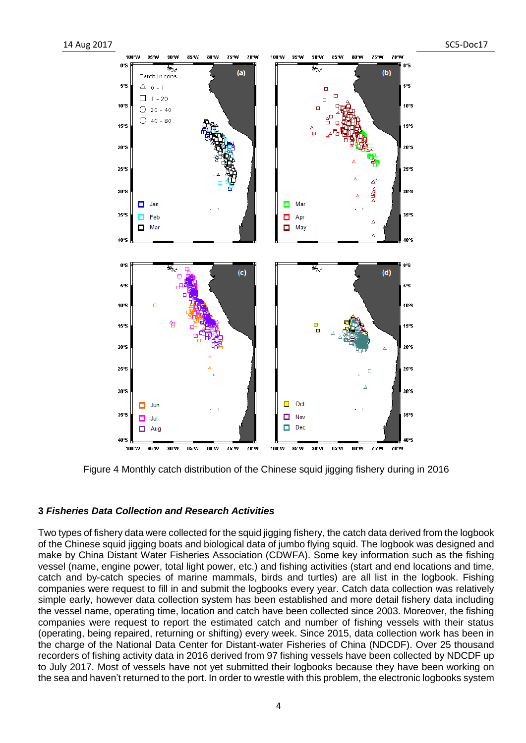

Figure 4 Monthly catch distribution of the Chinese squid jigging fishery during in 2016

#### **3** *Fisheries Data Collection and Research Activities*

Two types of fishery data were collected for the squid jigging fishery, the catch data derived from the logbook of the Chinese squid jigging boats and biological data of jumbo flying squid. The logbook was designed and make by China Distant Water Fisheries Association (CDWFA). Some key information such as the fishing vessel (name, engine power, total light power, etc.) and fishing activities (start and end locations and time, catch and by-catch species of marine mammals, birds and turtles) are all list in the logbook. Fishing companies were request to fill in and submit the logbooks every year. Catch data collection was relatively simple early, however data collection system has been established and more detail fishery data including the vessel name, operating time, location and catch have been collected since 2003. Moreover, the fishing companies were request to report the estimated catch and number of fishing vessels with their status (operating, being repaired, returning or shifting) every week. Since 2015, data collection work has been in the charge of the National Data Center for Distant-water Fisheries of China (NDCDF). Over 25 thousand recorders of fishing activity data in 2016 derived from 97 fishing vessels have been collected by NDCDF up to July 2017. Most of vessels have not yet submitted their logbooks because they have been working on the sea and haven't returned to the port. In order to wrestle with this problem, the electronic logbooks system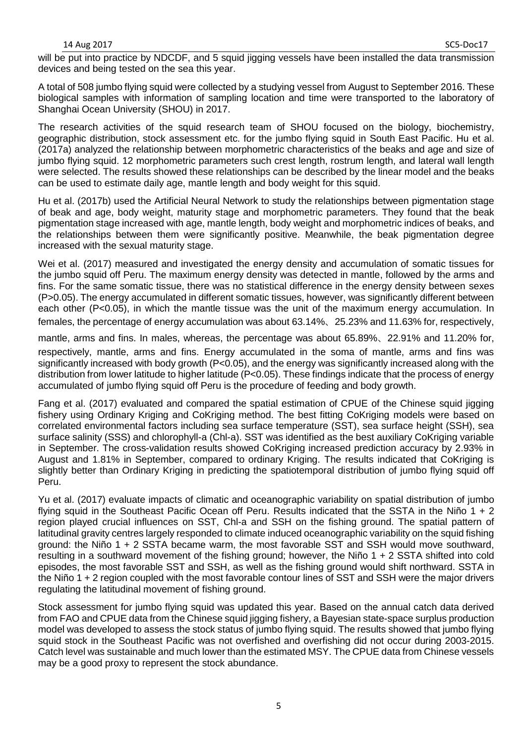will be put into practice by NDCDF, and 5 squid jigging vessels have been installed the data transmission devices and being tested on the sea this year.

A total of 508 jumbo flying squid were collected by a studying vessel from August to September 2016. These biological samples with information of sampling location and time were transported to the laboratory of Shanghai Ocean University (SHOU) in 2017.

The research activities of the squid research team of SHOU focused on the biology, biochemistry, geographic distribution, stock assessment etc. for the jumbo flying squid in South East Pacific. Hu et al. (2017a) analyzed the relationship between morphometric characteristics of the beaks and age and size of jumbo flying squid. 12 morphometric parameters such crest length, rostrum length, and lateral wall length were selected. The results showed these relationships can be described by the linear model and the beaks can be used to estimate daily age, mantle length and body weight for this squid.

Hu et al. (2017b) used the Artificial Neural Network to study the relationships between pigmentation stage of beak and age, body weight, maturity stage and morphometric parameters. They found that the beak pigmentation stage increased with age, mantle length, body weight and morphometric indices of beaks, and the relationships between them were significantly positive. Meanwhile, the beak pigmentation degree increased with the sexual maturity stage.

Wei et al. (2017) measured and investigated the energy density and accumulation of somatic tissues for the jumbo squid off Peru. The maximum energy density was detected in mantle, followed by the arms and fins. For the same somatic tissue, there was no statistical difference in the energy density between sexes (P>0.05). The energy accumulated in different somatic tissues, however, was significantly different between each other (P<0.05), in which the mantle tissue was the unit of the maximum energy accumulation. In females, the percentage of energy accumulation was about 63.14%、25.23% and 11.63% for, respectively,

mantle, arms and fins. In males, whereas, the percentage was about 65.89%、22.91% and 11.20% for, respectively, mantle, arms and fins. Energy accumulated in the soma of mantle, arms and fins was significantly increased with body growth (P<0.05), and the energy was significantly increased along with the distribution from lower latitude to higher latitude (P<0.05). These findings indicate that the process of energy accumulated of jumbo flying squid off Peru is the procedure of feeding and body growth.

Fang et al. (2017) evaluated and compared the spatial estimation of CPUE of the Chinese squid jigging fishery using Ordinary Kriging and CoKriging method. The best fitting CoKriging models were based on correlated environmental factors including sea surface temperature (SST), sea surface height (SSH), sea surface salinity (SSS) and chlorophyll-a (Chl-a). SST was identified as the best auxiliary CoKriging variable in September. The cross-validation results showed CoKriging increased prediction accuracy by 2.93% in August and 1.81% in September, compared to ordinary Kriging. The results indicated that CoKriging is slightly better than Ordinary Kriging in predicting the spatiotemporal distribution of jumbo flying squid off Peru.

Yu et al. (2017) evaluate impacts of climatic and oceanographic variability on spatial distribution of jumbo flying squid in the Southeast Pacific Ocean off Peru. Results indicated that the SSTA in the Niño 1 + 2 region played crucial influences on SST, Chl-a and SSH on the fishing ground. The spatial pattern of latitudinal gravity centres largely responded to climate induced oceanographic variability on the squid fishing ground: the Niño 1 + 2 SSTA became warm, the most favorable SST and SSH would move southward, resulting in a southward movement of the fishing ground; however, the Niño 1 + 2 SSTA shifted into cold episodes, the most favorable SST and SSH, as well as the fishing ground would shift northward. SSTA in the Niño 1 + 2 region coupled with the most favorable contour lines of SST and SSH were the major drivers regulating the latitudinal movement of fishing ground.

Stock assessment for jumbo flying squid was updated this year. Based on the annual catch data derived from FAO and CPUE data from the Chinese squid jigging fishery, a Bayesian state-space surplus production model was developed to assess the stock status of jumbo flying squid. The results showed that jumbo flying squid stock in the Southeast Pacific was not overfished and overfishing did not occur during 2003-2015. Catch level was sustainable and much lower than the estimated MSY. The CPUE data from Chinese vessels may be a good proxy to represent the stock abundance.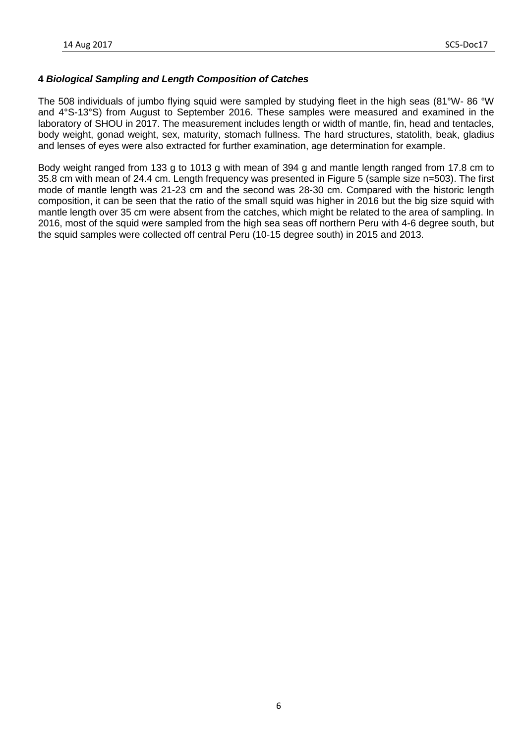## **4** *Biological Sampling and Length Composition of Catches*

The 508 individuals of jumbo flying squid were sampled by studying fleet in the high seas (81°W- 86 °W and 4°S-13°S) from August to September 2016. These samples were measured and examined in the laboratory of SHOU in 2017. The measurement includes length or width of mantle, fin, head and tentacles, body weight, gonad weight, sex, maturity, stomach fullness. The hard structures, statolith, beak, gladius and lenses of eyes were also extracted for further examination, age determination for example.

Body weight ranged from 133 g to 1013 g with mean of 394 g and mantle length ranged from 17.8 cm to 35.8 cm with mean of 24.4 cm. Length frequency was presented in Figure 5 (sample size n=503). The first mode of mantle length was 21-23 cm and the second was 28-30 cm. Compared with the historic length composition, it can be seen that the ratio of the small squid was higher in 2016 but the big size squid with mantle length over 35 cm were absent from the catches, which might be related to the area of sampling. In 2016, most of the squid were sampled from the high sea seas off northern Peru with 4-6 degree south, but the squid samples were collected off central Peru (10-15 degree south) in 2015 and 2013.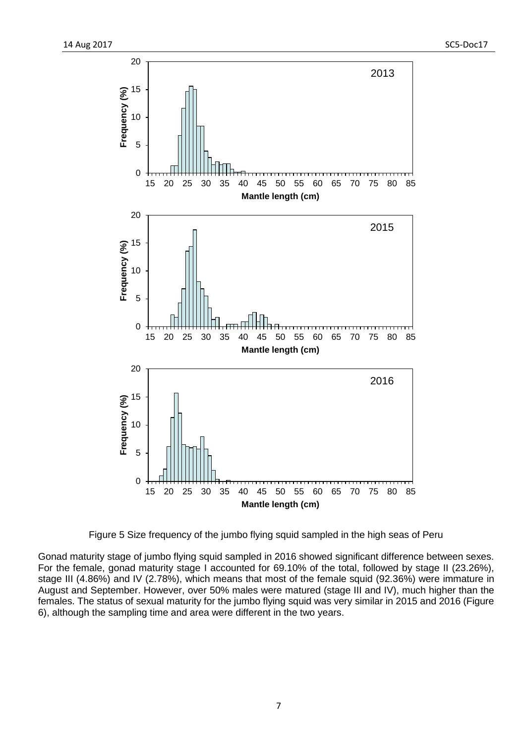

Figure 5 Size frequency of the jumbo flying squid sampled in the high seas of Peru

Gonad maturity stage of jumbo flying squid sampled in 2016 showed significant difference between sexes. For the female, gonad maturity stage I accounted for 69.10% of the total, followed by stage II (23.26%), stage III (4.86%) and IV (2.78%), which means that most of the female squid (92.36%) were immature in August and September. However, over 50% males were matured (stage III and IV), much higher than the females. The status of sexual maturity for the jumbo flying squid was very similar in 2015 and 2016 (Figure 6), although the sampling time and area were different in the two years.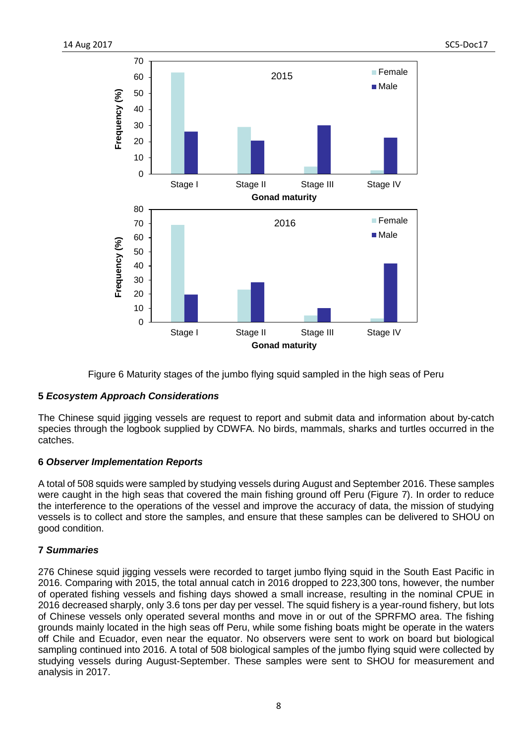

Figure 6 Maturity stages of the jumbo flying squid sampled in the high seas of Peru

## **5** *Ecosystem Approach Considerations*

The Chinese squid jigging vessels are request to report and submit data and information about by-catch species through the logbook supplied by CDWFA. No birds, mammals, sharks and turtles occurred in the catches.

## **6** *Observer Implementation Reports*

A total of 508 squids were sampled by studying vessels during August and September 2016. These samples were caught in the high seas that covered the main fishing ground off Peru (Figure 7). In order to reduce the interference to the operations of the vessel and improve the accuracy of data, the mission of studying vessels is to collect and store the samples, and ensure that these samples can be delivered to SHOU on good condition.

## **7** *Summaries*

276 Chinese squid jigging vessels were recorded to target jumbo flying squid in the South East Pacific in 2016. Comparing with 2015, the total annual catch in 2016 dropped to 223,300 tons, however, the number of operated fishing vessels and fishing days showed a small increase, resulting in the nominal CPUE in 2016 decreased sharply, only 3.6 tons per day per vessel. The squid fishery is a year-round fishery, but lots of Chinese vessels only operated several months and move in or out of the SPRFMO area. The fishing grounds mainly located in the high seas off Peru, while some fishing boats might be operate in the waters off Chile and Ecuador, even near the equator. No observers were sent to work on board but biological sampling continued into 2016. A total of 508 biological samples of the jumbo flying squid were collected by studying vessels during August-September. These samples were sent to SHOU for measurement and analysis in 2017.